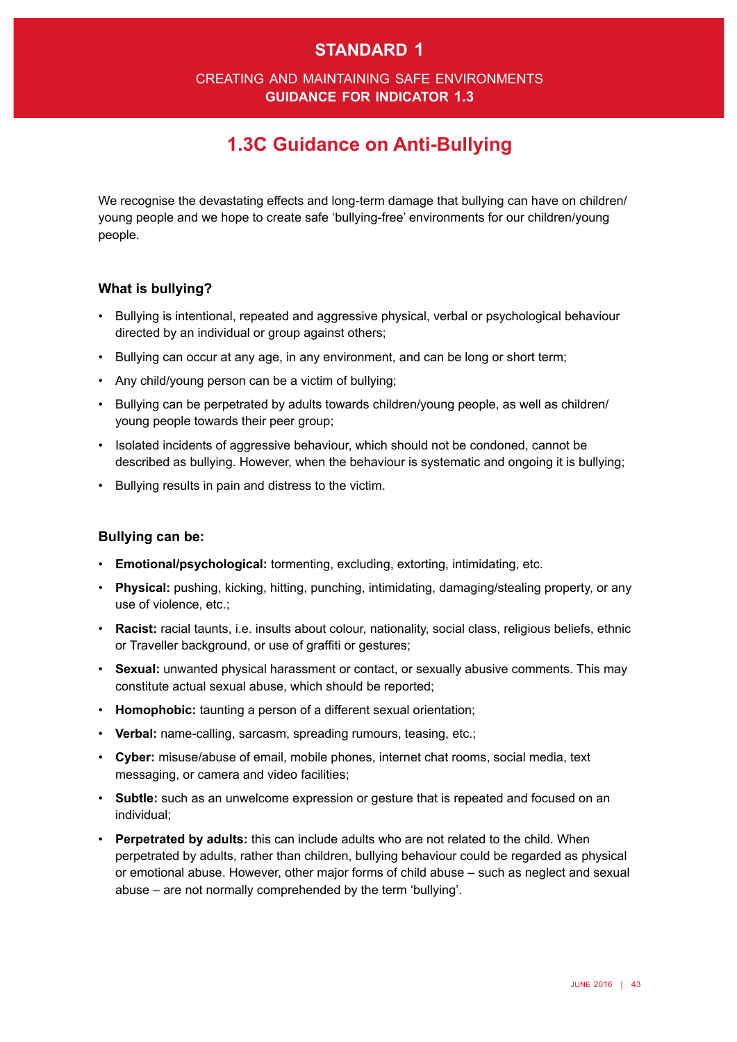### **standard 1**

#### creating and maintaining safe environments **guidance for indicator 1.3**

# **1.3C Guidance on Anti-Bullying**

We recognise the devastating effects and long-term damage that bullying can have on children/ young people and we hope to create safe 'bullying-free' environments for our children/young people.

#### **What is bullying?**

- Bullying is intentional, repeated and aggressive physical, verbal or psychological behaviour directed by an individual or group against others;
- • Bullying can occur at any age, in any environment, and can be long or short term;
- • Any child/young person can be a victim of bullying;
- • Bullying can be perpetrated by adults towards children/young people, as well as children/ young people towards their peer group;
- Isolated incidents of aggressive behaviour, which should not be condoned, cannot be described as bullying. However, when the behaviour is systematic and ongoing it is bullying;
- • Bullying results in pain and distress to the victim.

#### **Bullying can be:**

- • **Emotional/psychological:** tormenting, excluding, extorting, intimidating, etc.
- • **Physical:** pushing, kicking, hitting, punching, intimidating, damaging/stealing property, or any use of violence, etc.;
- • **Racist:** racial taunts, i.e. insults about colour, nationality, social class, religious beliefs, ethnic or Traveller background, or use of graffiti or gestures;
- • **Sexual:** unwanted physical harassment or contact, or sexually abusive comments. This may constitute actual sexual abuse, which should be reported;
- • **Homophobic:** taunting a person of a different sexual orientation;
- **Verbal:** name-calling, sarcasm, spreading rumours, teasing, etc.;
- • **Cyber:** misuse/abuse of email, mobile phones, internet chat rooms, social media, text messaging, or camera and video facilities;
- • **Subtle:** such as an unwelcome expression or gesture that is repeated and focused on an individual;
- • **Perpetrated by adults:** this can include adults who are not related to the child. When perpetrated by adults, rather than children, bullying behaviour could be regarded as physical or emotional abuse. However, other major forms of child abuse – such as neglect and sexual abuse – are not normally comprehended by the term 'bullying'.